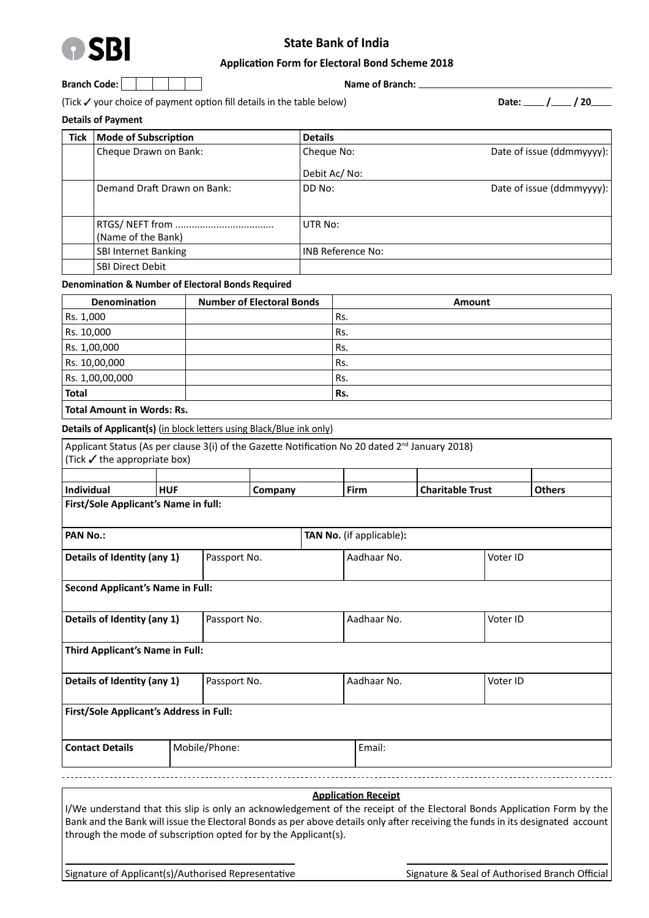

# **State Bank of India**

#### **Application Form for Electoral Bond Scheme 2018**

|  | Branch Code: . |  |  |  |  |  |
|--|----------------|--|--|--|--|--|
|--|----------------|--|--|--|--|--|

**Branch: Name of Branch:** <u>**Name of Branch: L**</u>

(Tick your choice of payment option fill details in the table below) **Date: / / 20**

**Details of Payment**

| Tick | <b>Mode of Subscription</b> | <b>Details</b>           |                           |
|------|-----------------------------|--------------------------|---------------------------|
|      | Cheque Drawn on Bank:       | Cheque No:               | Date of issue (ddmmyyyy): |
|      |                             | Debit Ac/No:             |                           |
|      | Demand Draft Drawn on Bank: | DD No:                   | Date of issue (ddmmyyyy): |
|      | (Name of the Bank)          | UTR No:                  |                           |
|      | <b>SBI Internet Banking</b> | <b>INB Reference No:</b> |                           |
|      | <b>SBI Direct Debit</b>     |                          |                           |

### **Denomination & Number of Electoral Bonds Required**

| <b>Denomination</b> | <b>Number of Electoral Bonds</b> | Amount |
|---------------------|----------------------------------|--------|
| Rs. 1,000           |                                  | Rs.    |
| Rs. 10,000          |                                  | Rs.    |
| Rs. 1,00,000        |                                  | Rs.    |
| Rs. 10,00,000       |                                  | Rs.    |
| Rs. 1,00,00,000     |                                  | Rs.    |
| <b>Total</b>        |                                  | Rs.    |
|                     |                                  |        |

**Total Amount in Words: Rs.** 

**Details of Applicant(s)** (in block letters using Black/Blue ink only)

| Applicant Status (As per clause 3(i) of the Gazette Notification No 20 dated 2 <sup>nd</sup> January 2018)<br>(Tick $\checkmark$ the appropriate box) |                                             |               |         |             |                                 |          |          |               |
|-------------------------------------------------------------------------------------------------------------------------------------------------------|---------------------------------------------|---------------|---------|-------------|---------------------------------|----------|----------|---------------|
|                                                                                                                                                       |                                             |               |         |             |                                 |          |          |               |
| Individual                                                                                                                                            | <b>HUF</b>                                  |               | Company |             | Firm<br><b>Charitable Trust</b> |          |          | <b>Others</b> |
| First/Sole Applicant's Name in full:                                                                                                                  |                                             |               |         |             |                                 |          |          |               |
| <b>PAN No.:</b><br>TAN No. (if applicable):                                                                                                           |                                             |               |         |             |                                 |          |          |               |
|                                                                                                                                                       | Details of Identity (any 1)<br>Passport No. |               |         | Aadhaar No. |                                 | Voter ID |          |               |
| <b>Second Applicant's Name in Full:</b>                                                                                                               |                                             |               |         |             |                                 |          |          |               |
| Details of Identity (any 1)                                                                                                                           |                                             | Passport No.  |         |             | Aadhaar No.                     |          | Voter ID |               |
| Third Applicant's Name in Full:                                                                                                                       |                                             |               |         |             |                                 |          |          |               |
| Details of Identity (any 1)                                                                                                                           | Passport No.                                |               |         | Aadhaar No. |                                 | Voter ID |          |               |
| First/Sole Applicant's Address in Full:                                                                                                               |                                             |               |         |             |                                 |          |          |               |
| <b>Contact Details</b>                                                                                                                                |                                             | Mobile/Phone: |         | Email:      |                                 |          |          |               |
|                                                                                                                                                       |                                             |               |         |             |                                 |          |          |               |

#### **Application Receipt**

I/We understand that this slip is only an acknowledgement of the receipt of the Electoral Bonds Application Form by the Bank and the Bank will issue the Electoral Bonds as per above details only after receiving the funds in its designated account through the mode of subscription opted for by the Applicant(s).